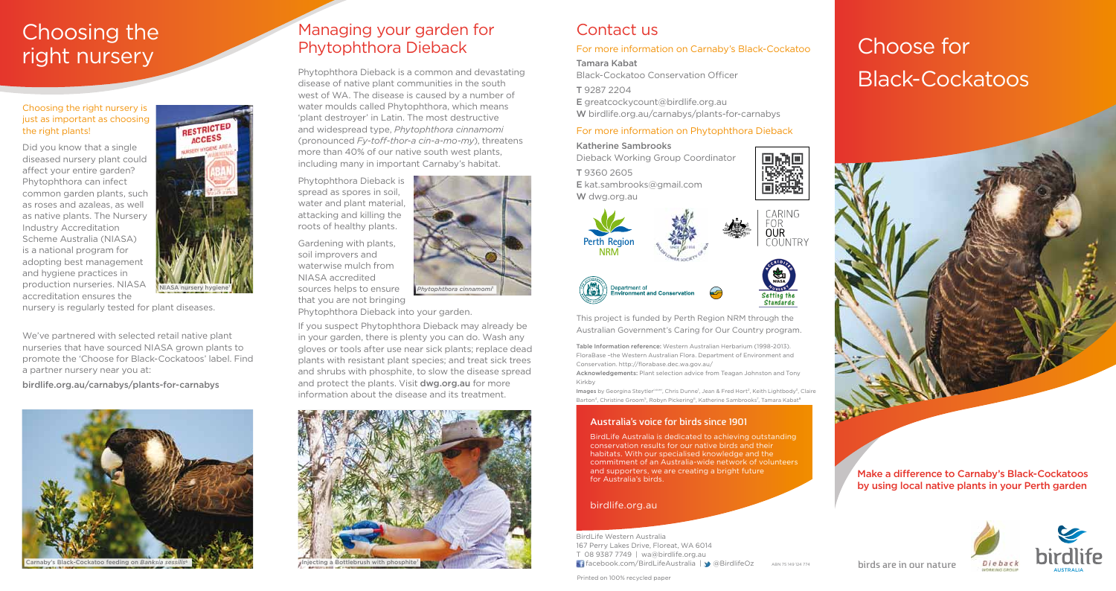



Make a difference to Carnaby's Black-Cockatoos by using local native plants in your Perth garden

#### Choosing the right nursery is just as important as choosing the right plants!

Did you know that a single diseased nursery plant could affect your entire garden? Phytophthora can infect common garden plants, such as roses and azaleas, as well as native plants. The Nursery Industry Accreditation Scheme Australia (NIASA) is a national program for adopting best management and hygiene practices in production nurseries. NIASA accreditation ensures the



nursery is regularly tested for plant diseases.

Gardening with plants, soil improvers and waterwise mulch from NIASA accredited NIASA nursery hygiene<sup>1</sup> **AN** sources helps to ensure *Phytophthora cinnamomi*<sup>2</sup>

We've partnered with selected retail native plant nurseries that have sourced NIASA grown plants to promote the 'Choose for Black-Cockatoos' label. Find a partner nursery near you at:

birdlife.org.au/carnabys/plants-for-carnabys

Phytophthora Dieback is a common and devastating disease of native plant communities in the south west of WA. The disease is caused by a number of water moulds called Phytophthora, which means 'plant destroyer' in Latin. The most destructive and widespread type, *Phytophthora cinnamomi*  (pronounced *Fy-toff-thor-a cin-a-mo-my*), threatens more than 40% of our native south west plants, including many in important Carnaby's habitat.

> ABN 75 149 124 774 BirdLife Western Australia 167 Perry Lakes Drive, Floreat, WA 6014 T 08 9387 7749 | wa@birdlife.org.au facebook.com/BirdLifeAustralia | @BirdlifeOz

Phytophthora Dieback is spread as spores in soil, water and plant material, attacking and killing the roots of healthy plants.

that you are not bringing

Phytophthora Dieback into your garden.

If you suspect Phytophthora Dieback may already be in your garden, there is plenty you can do. Wash any gloves or tools after use near sick plants; replace dead plants with resistant plant species; and treat sick trees and shrubs with phosphite, to slow the disease spread and protect the plants. Visit dwg.org.au for more information about the disease and its treatment.



# Choose for Black-Cockatoos



Printed on 100% recycled paper



#### birdlife.org.au

#### Australia's voice for birds since 1901

BirdLife Australia is dedicated to achieving outstanding conservation results for our native birds and their habitats. With our specialised knowledge and the commitment of an Australia-wide network of volunteers and supporters, we are creating a bright future for Australia's birds.

Table Information reference: Western Australian Herbarium (1998-2013). FloraBase –the Western Australian Flora. Department of Environment and Conservation. http://florabase.dec.wa.gov.au/

Acknowledgements: Plant selection advice from Teagan Johnston and Tony Kirkby

Images by Georgina Steytler<sup>cover</sup>, Chris Dunne<sup>1</sup>, Jean & Fred Hort<sup>2</sup>, Keith Lightbody<sup>3</sup>, Claire Barton<sup>4</sup>, Christine Groom<sup>5</sup>, Robyn Pickering<sup>6</sup>, Katherine Sambrooks<sup>7</sup>, Tamara Kabat<sup>s</sup>

This project is funded by Perth Region NRM through the Australian Government's Caring for Our Country program.

**Perth Region NRM**

Department of

## Managing your garden for Phytophthora Dieback

## Contact us

#### For more information on Carnaby's Black-Cockatoo

Tamara Kabat

Black-Cockatoo Conservation Officer

T 9287 2204 E greatcockycount@birdlife.org.au W birdlife.org.au/carnabys/plants-for-carnabys

#### For more information on Phytophthora Dieback

Katherine Sambrooks Dieback Working Group Coordinator T 9360 2605 E kat.sambrooks@gmail.com W dwg.org.au

nent or<br>nment and Conservation









# Choosing the right nursery